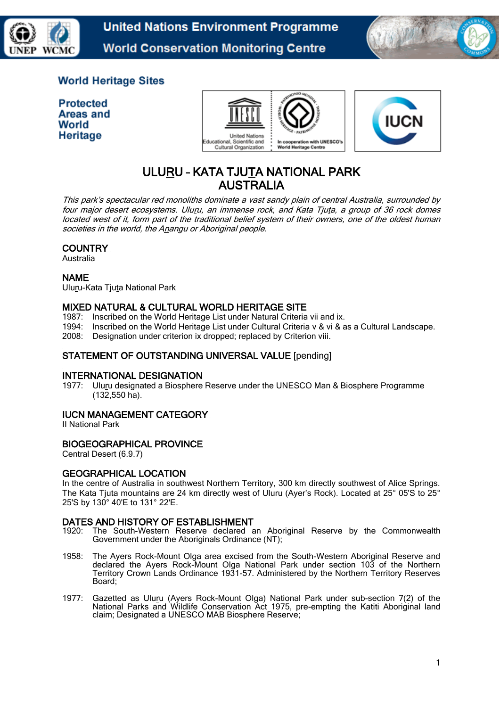

**United Nations Environment Programme World Conservation Monitoring Centre** 



## **World Heritage Sites**

**Protected** Areas and World Heritage





# ULURU – KATA TJUTA NATIONAL PARK AUSTRALIA

This park's spectacular red monoliths dominate a vast sandy plain of central Australia, surrounded by four major desert ecosystems. Uluru, an immense rock, and Kata Tjuta, a group of 36 rock domes located west of it, form part of the traditional belief system of their owners, one of the oldest human societies in the world, the Anangu or Aboriginal people.

## **COUNTRY**

Australia

## NAME

Uluru-Kata Tjuta National Park

## MIXED NATURAL & CULTURAL WORLD HERITAGE SITE

- 1987: Inscribed on the World Heritage List under Natural Criteria vii and ix.
- 1994: Inscribed on the World Heritage List under Cultural Criteria v & vi & as a Cultural Landscape.
- 2008: Designation under criterion ix dropped; replaced by Criterion viii.

## STATEMENT OF OUTSTANDING UNIVERSAL VALUE [pending]

## INTERNATIONAL DESIGNATION

1977: Uluru designated a Biosphere Reserve under the UNESCO Man & Biosphere Programme (132,550 ha).

## IUCN MANAGEMENT CATEGORY

II National Park

## BIOGEOGRAPHICAL PROVINCE

Central Desert (6.9.7)

## GEOGRAPHICAL LOCATION

In the centre of Australia in southwest Northern Territory, 300 km directly southwest of Alice Springs. The Kata Tjuta mountains are 24 km directly west of Uluru (Ayer's Rock). Located at 25° 05'S to 25° 25'S by 130° 40'E to 131° 22'E.

#### DATES AND HISTORY OF ESTABLISHMENT

- 1920: The South-Western Reserve declared an Aboriginal Reserve by the Commonwealth Government under the Aboriginals Ordinance (NT):
- 1958: The Ayers Rock-Mount Olga area excised from the South-Western Aboriginal Reserve and declared the Ayers Rock-Mount Olga National Park under section 103 of the Northern Territory Crown Lands Ordinance 1931-57. Administered by the Northern Territory Reserves Board;
- 1977: Gazetted as Uluru (Ayers Rock-Mount Olga) National Park under sub-section 7(2) of the National Parks and Wildlife Conservation Act 1975, pre-empting the Katiti Aboriginal land claim; Designated a UNESCO MAB Biosphere Reserve;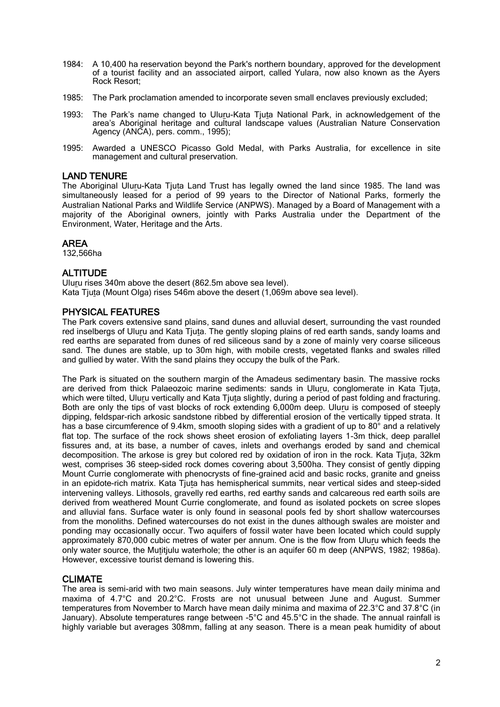- 1984: A 10,400 ha reservation beyond the Park's northern boundary, approved for the development of a tourist facility and an associated airport, called Yulara, now also known as the Ayers Rock Resort;
- 1985: The Park proclamation amended to incorporate seven small enclaves previously excluded;
- 1993: The Park's name changed to Uluru-Kata Tjuta National Park, in acknowledgement of the area's Aboriginal heritage and cultural landscape values (Australian Nature Conservation Agency (ANCA), pers. comm., 1995);
- 1995: Awarded a UNESCO Picasso Gold Medal, with Parks Australia, for excellence in site management and cultural preservation.

#### LAND TENURE

The Aboriginal Uluru-Kata Tjuta Land Trust has legally owned the land since 1985. The land was simultaneously leased for a period of 99 years to the Director of National Parks, formerly the Australian National Parks and Wildlife Service (ANPWS). Managed by a Board of Management with a majority of the Aboriginal owners, jointly with Parks Australia under the Department of the Environment, Water, Heritage and the Arts.

#### AREA

132,566ha

#### ALTITUDE

Uluru rises 340m above the desert (862.5m above sea level). Kata Tjuta (Mount Olga) rises 546m above the desert (1,069m above sea level).

#### PHYSICAL FEATURES

The Park covers extensive sand plains, sand dunes and alluvial desert, surrounding the vast rounded red inselbergs of Uluru and Kata Tjuta. The gently sloping plains of red earth sands, sandy loams and red earths are separated from dunes of red siliceous sand by a zone of mainly very coarse siliceous sand. The dunes are stable, up to 30m high, with mobile crests, vegetated flanks and swales rilled and gullied by water. With the sand plains they occupy the bulk of the Park.

The Park is situated on the southern margin of the Amadeus sedimentary basin. The massive rocks are derived from thick Palaeozoic marine sediments: sands in Uluru, conglomerate in Kata Tjuta, which were tilted, Uluru vertically and Kata Tjuta slightly, during a period of past folding and fracturing. Both are only the tips of vast blocks of rock extending 6,000m deep. Uluru is composed of steeply dipping, feldspar-rich arkosic sandstone ribbed by differential erosion of the vertically tipped strata. It has a base circumference of 9.4km, smooth sloping sides with a gradient of up to 80° and a relatively flat top. The surface of the rock shows sheet erosion of exfoliating layers 1-3m thick, deep parallel fissures and, at its base, a number of caves, inlets and overhangs eroded by sand and chemical decomposition. The arkose is grey but colored red by oxidation of iron in the rock. Kata Tjuta, 32km west, comprises 36 steep-sided rock domes covering about 3,500ha. They consist of gently dipping Mount Currie conglomerate with phenocrysts of fine-grained acid and basic rocks, granite and gneiss in an epidote-rich matrix. Kata Tjuta has hemispherical summits, near vertical sides and steep-sided intervening valleys. Lithosols, gravelly red earths, red earthy sands and calcareous red earth soils are derived from weathered Mount Currie conglomerate, and found as isolated pockets on scree slopes and alluvial fans. Surface water is only found in seasonal pools fed by short shallow watercourses from the monoliths. Defined watercourses do not exist in the dunes although swales are moister and ponding may occasionally occur. Two aquifers of fossil water have been located which could supply approximately 870,000 cubic metres of water per annum. One is the flow from Uluru which feeds the only water source, the Mutitjulu waterhole; the other is an aquifer 60 m deep (ANPWS, 1982; 1986a). However, excessive tourist demand is lowering this.

#### CLIMATE

The area is semi-arid with two main seasons. July winter temperatures have mean daily minima and maxima of 4.7°C and 20.2°C. Frosts are not unusual between June and August. Summer temperatures from November to March have mean daily minima and maxima of 22.3°C and 37.8°C (in January). Absolute temperatures range between -5°C and 45.5°C in the shade. The annual rainfall is highly variable but averages 308mm, falling at any season. There is a mean peak humidity of about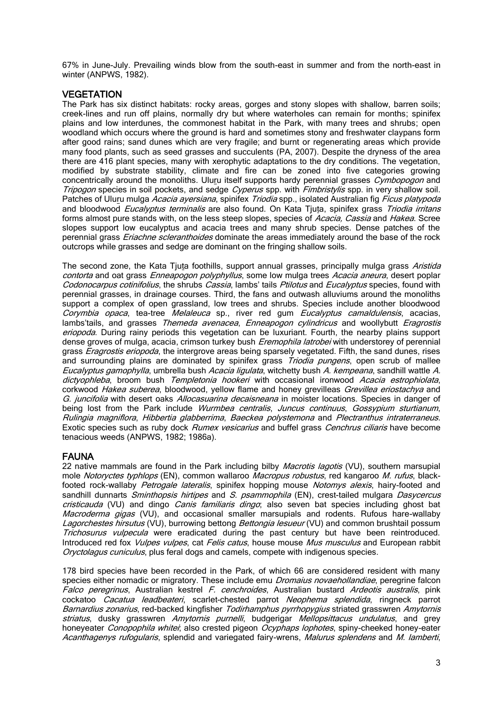67% in June-July. Prevailing winds blow from the south-east in summer and from the north-east in winter (ANPWS, 1982).

#### VEGETATION

The Park has six distinct habitats: rocky areas, gorges and stony slopes with shallow, barren soils; creek-lines and run off plains, normally dry but where waterholes can remain for months; spinifex plains and low interdunes, the commonest habitat in the Park, with many trees and shrubs; open woodland which occurs where the ground is hard and sometimes stony and freshwater claypans form after good rains; sand dunes which are very fragile; and burnt or regenerating areas which provide many food plants, such as seed grasses and succulents (PA, 2007). Despite the dryness of the area there are 416 plant species, many with xerophytic adaptations to the dry conditions. The vegetation, modified by substrate stability, climate and fire can be zoned into five categories growing concentrically around the monoliths. Uluru itself supports hardy perennial grasses Cymbopogon and Tripogon species in soil pockets, and sedge Cyperus spp. with Fimbristylis spp. in very shallow soil. Patches of Uluru mulga *Acacia ayersiana*, spinifex *Triodia* spp., isolated Australian fig *Ficus platypoda* and bloodwood *Eucalyptus terminalis* are also found. On Kata Tjuta, spinifex grass Triodia irritans forms almost pure stands with, on the less steep slopes, species of *Acacia, Cassia* and *Hakea*, Scree slopes support low eucalyptus and acacia trees and many shrub species. Dense patches of the perennial grass *Eriachne scleranthoides* dominate the areas immediately around the base of the rock outcrops while grasses and sedge are dominant on the fringing shallow soils.

The second zone, the Kata Tiuta foothills, support annual grasses, principally mulga grass Aristida contorta and oat grass *Enneapogon polyphyllus*, some low mulga trees *Acacia aneura*, desert poplar Codonocarpus cotinifolius, the shrubs Cassia, lambs' tails Ptilotus and Eucalyptus species, found with perennial grasses, in drainage courses. Third, the fans and outwash alluviums around the monoliths support a complex of open grassland, low trees and shrubs. Species include another bloodwood Corymbia opaca, tea-tree Melaleuca sp., river red gum Eucalyptus camaldulensis, acacias, lambs'tails, and grasses Themeda avenacea, Enneapogon cylindricus and woollybutt Eragrostis eriopoda. During rainy periods this vegetation can be luxuriant. Fourth, the nearby plains support dense groves of mulga, acacia, crimson turkey bush *Eremophila latrobei* with understorey of perennial grass *Eragrostis eriopoda*, the intergrove areas being sparsely vegetated. Fifth, the sand dunes, rises and surrounding plains are dominated by spinifex grass *Triodia pungens*, open scrub of mallee Eucalyptus gamophylla, umbrella bush Acacia ligulata, witchetty bush A. kempeana, sandhill wattle A. dictyophleba, broom bush Templetonia hookeri with occasional ironwood Acacia estrophiolata, corkwood Hakea suberea, bloodwood, yellow flame and honey grevilleas Grevillea eriostachya and G. juncifolia with desert oaks *Allocasuarina decaisneana* in moister locations. Species in danger of being lost from the Park include *Wurmbea centralis, Juncus continuus, Gossypium sturtianum*, Rulingia magniflora, Hibbertia glabberrima, Baeckea polystemona and Plectranthus intraterraneus. Exotic species such as ruby dock Rumex vesicarius and buffel grass Cenchrus ciliaris have become tenacious weeds (ANPWS, 1982; 1986a).

#### FAUNA

22 native mammals are found in the Park including bilby *Macrotis lagotis* (VU), southern marsupial mole Notoryctes typhlops (EN), common wallaroo Macropus robustus, red kangaroo M. rufus, blackfooted rock-wallaby Petrogale lateralis, spinifex hopping mouse Notomys alexis, hairy-footed and sandhill dunnarts Sminthopsis hirtipes and S. psammophila (EN), crest-tailed mulgara Dasycercus cristicauda (VU) and dingo *Canis familiaris dingo*; also seven bat species including ghost bat Macroderma gigas (VU), and occasional smaller marsupials and rodents. Rufous hare-wallaby Lagorchestes hirsutus (VU), burrowing bettong Bettongia lesueur (VU) and common brushtail possum Trichosurus vulpecula were eradicated during the past century but have been reintroduced. Introduced red fox *Vulpes vulpes*, cat Felis catus, house mouse Mus musculus and European rabbit Oryctolagus cuniculus, plus feral dogs and camels, compete with indigenous species.

178 bird species have been recorded in the Park, of which 66 are considered resident with many species either nomadic or migratory. These include emu *Dromaius novaehollandiae*, peregrine falcon Falco peregrinus, Australian kestrel F. cenchroides, Australian bustard Ardeotis australis, pink cockatoo Cacatua leadbeateri, scarlet-chested parrot Neophema splendida, ringneck parrot Barnardius zonarius, red-backed kingfisher Todirhamphus pyrrhopygius striated grasswren Amytornis striatus, dusky grasswren Amytornis purnelli, budgerigar Mellopsittacus undulatus, and grey honeyeater Conopophila whitei; also crested pigeon Ocyphaps lophotes, spiny-cheeked honey-eater Acanthagenys rufogularis, splendid and variegated fairy-wrens, Malurus splendens and M. lamberti,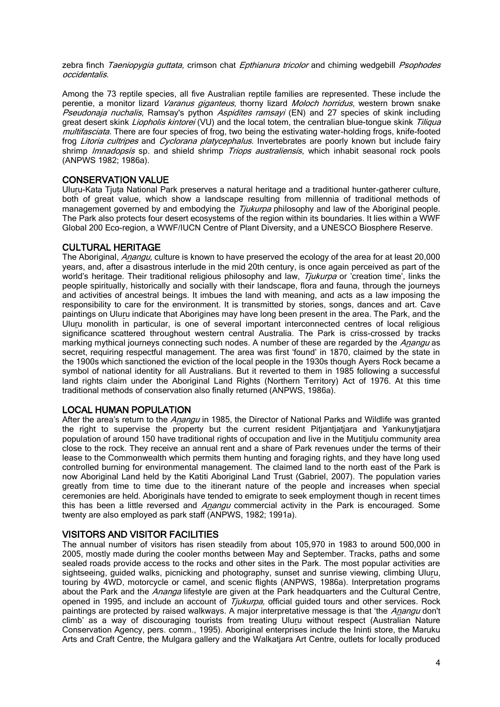zebra finch Taeniopygia guttata, crimson chat Epthianura tricolor and chiming wedgebill Psophodes occidentalis.

Among the 73 reptile species, all five Australian reptile families are represented. These include the perentie, a monitor lizard Varanus giganteus, thorny lizard Moloch horridus, western brown snake Pseudonaja nuchalis, Ramsay's python Aspidites ramsayi (EN) and 27 species of skink including great desert skink *Liopholis kintorei* (VU) and the local totem, the centralian blue-tongue skink Tiliqua multifasciata. There are four species of frog, two being the estivating water-holding frogs, knife-footed frog Litoria cultripes and Cyclorana platycephalus. Invertebrates are poorly known but include fairy shrimp *Imnadopsis* sp. and shield shrimp *Triops australiensis*, which inhabit seasonal rock pools (ANPWS 1982; 1986a).

## CONSERVATION VALUE

Uluru-Kata Tjuta National Park preserves a natural heritage and a traditional hunter-gatherer culture, both of great value, which show a landscape resulting from millennia of traditional methods of management governed by and embodying the *Tjukurpa* philosophy and law of the Aboriginal people. The Park also protects four desert ecosystems of the region within its boundaries. It lies within a WWF Global 200 Eco-region, a WWF/IUCN Centre of Plant Diversity, and a UNESCO Biosphere Reserve.

## CULTURAL HERITAGE

The Aboriginal, *Anangu*, culture is known to have preserved the ecology of the area for at least 20,000 years, and, after a disastrous interlude in the mid 20th century, is once again perceived as part of the world's heritage. Their traditional religious philosophy and law, *Tiukurpa* or 'creation time', links the people spiritually, historically and socially with their landscape, flora and fauna, through the journeys and activities of ancestral beings. It imbues the land with meaning, and acts as a law imposing the responsibility to care for the environment. It is transmitted by stories, songs, dances and art. Cave paintings on Uluru indicate that Aborigines may have long been present in the area. The Park, and the Uluru monolith in particular, is one of several important interconnected centres of local religious significance scattered throughout western central Australia. The Park is criss-crossed by tracks marking mythical journeys connecting such nodes. A number of these are regarded by the Anangu as secret, requiring respectful management. The area was first 'found' in 1870, claimed by the state in the 1900s which sanctioned the eviction of the local people in the 1930s though Ayers Rock became a symbol of national identity for all Australians. But it reverted to them in 1985 following a successful land rights claim under the Aboriginal Land Rights (Northern Territory) Act of 1976. At this time traditional methods of conservation also finally returned (ANPWS, 1986a).

## LOCAL HUMAN POPULATION

After the area's return to the Anangu in 1985, the Director of National Parks and Wildlife was granted the right to supervise the property but the current resident Pitiantiatiara and Yankunytiatiara population of around 150 have traditional rights of occupation and live in the Mutitjulu community area close to the rock. They receive an annual rent and a share of Park revenues under the terms of their lease to the Commonwealth which permits them hunting and foraging rights, and they have long used controlled burning for environmental management. The claimed land to the north east of the Park is now Aboriginal Land held by the Katiti Aboriginal Land Trust (Gabriel, 2007). The population varies greatly from time to time due to the itinerant nature of the people and increases when special ceremonies are held. Aboriginals have tended to emigrate to seek employment though in recent times this has been a little reversed and Anangu commercial activity in the Park is encouraged. Some twenty are also employed as park staff (ANPWS, 1982; 1991a).

## VISITORS AND VISITOR FACILITIES

The annual number of visitors has risen steadily from about 105,970 in 1983 to around 500,000 in 2005, mostly made during the cooler months between May and September. Tracks, paths and some sealed roads provide access to the rocks and other sites in the Park. The most popular activities are sightseeing, guided walks, picnicking and photography, sunset and sunrise viewing, climbing Uluru, touring by 4WD, motorcycle or camel, and scenic flights (ANPWS, 1986a). Interpretation programs about the Park and the Ananga lifestyle are given at the Park headquarters and the Cultural Centre, opened in 1995, and include an account of *Tjukurpa*, official guided tours and other services. Rock paintings are protected by raised walkways. A major interpretative message is that 'the Anangu don't climb' as a way of discouraging tourists from treating Uluru without respect (Australian Nature Conservation Agency, pers. comm., 1995). Aboriginal enterprises include the Ininti store, the Maruku Arts and Craft Centre, the Mulgara gallery and the Walkatjara Art Centre, outlets for locally produced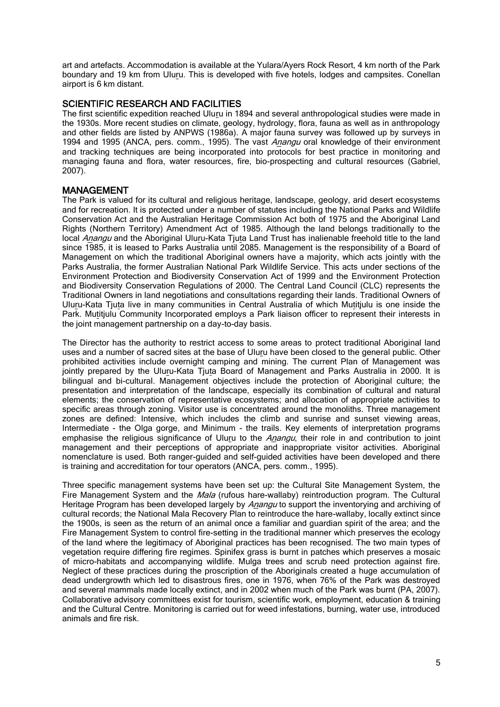art and artefacts. Accommodation is available at the Yulara/Ayers Rock Resort, 4 km north of the Park boundary and 19 km from Uluru. This is developed with five hotels, lodges and campsites. Conellan airport is 6 km distant.

#### SCIENTIFIC RESEARCH AND FACILITIES

The first scientific expedition reached Uluru in 1894 and several anthropological studies were made in the 1930s. More recent studies on climate, geology, hydrology, flora, fauna as well as in anthropology and other fields are listed by ANPWS (1986a). A major fauna survey was followed up by surveys in 1994 and 1995 (ANCA, pers. comm., 1995). The vast Anangu oral knowledge of their environment and tracking techniques are being incorporated into protocols for best practice in monitoring and managing fauna and flora, water resources, fire, bio-prospecting and cultural resources (Gabriel, 2007).

## MANAGEMENT

The Park is valued for its cultural and religious heritage, landscape, geology, arid desert ecosystems and for recreation. It is protected under a number of statutes including the National Parks and Wildlife Conservation Act and the Australian Heritage Commission Act both of 1975 and the Aboriginal Land Rights (Northern Territory) Amendment Act of 1985. Although the land belongs traditionally to the local Anangu and the Aboriginal Uluru-Kata Tiuta Land Trust has inalienable freehold title to the land since 1985, it is leased to Parks Australia until 2085. Management is the responsibility of a Board of Management on which the traditional Aboriginal owners have a majority, which acts jointly with the Parks Australia, the former Australian National Park Wildlife Service. This acts under sections of the Environment Protection and Biodiversity Conservation Act of 1999 and the Environment Protection and Biodiversity Conservation Regulations of 2000. The Central Land Council (CLC) represents the Traditional Owners in land negotiations and consultations regarding their lands. Traditional Owners of Uluru-Kata Tjuta live in many communities in Central Australia of which Mutitjulu is one inside the Park. Mutitjulu Community Incorporated employs a Park liaison officer to represent their interests in the joint management partnership on a day-to-day basis.

The Director has the authority to restrict access to some areas to protect traditional Aboriginal land uses and a number of sacred sites at the base of Uluru have been closed to the general public. Other prohibited activities include overnight camping and mining. The current Plan of Management was jointly prepared by the Uluru-Kata Tjuta Board of Management and Parks Australia in 2000. It is bilingual and bi-cultural. Management objectives include the protection of Aboriginal culture; the presentation and interpretation of the landscape, especially its combination of cultural and natural elements; the conservation of representative ecosystems; and allocation of appropriate activities to specific areas through zoning. Visitor use is concentrated around the monoliths. Three management zones are defined: Intensive, which includes the climb and sunrise and sunset viewing areas, Intermediate - the Olga gorge, and Minimum - the trails. Key elements of interpretation programs emphasise the religious significance of Uluru to the Anangu, their role in and contribution to joint management and their perceptions of appropriate and inappropriate visitor activities. Aboriginal nomenclature is used. Both ranger-guided and self-guided activities have been developed and there is training and accreditation for tour operators (ANCA, pers. comm., 1995).

Three specific management systems have been set up: the Cultural Site Management System, the Fire Management System and the *Mala* (rufous hare-wallaby) reintroduction program. The Cultural Heritage Program has been developed largely by Anangu to support the inventorying and archiving of cultural records; the National Mala Recovery Plan to reintroduce the hare-wallaby, locally extinct since the 1900s, is seen as the return of an animal once a familiar and guardian spirit of the area; and the Fire Management System to control fire-setting in the traditional manner which preserves the ecology of the land where the legitimacy of Aboriginal practices has been recognised. The two main types of vegetation require differing fire regimes. Spinifex grass is burnt in patches which preserves a mosaic of micro-habitats and accompanying wildlife. Mulga trees and scrub need protection against fire. Neglect of these practices during the proscription of the Aboriginals created a huge accumulation of dead undergrowth which led to disastrous fires, one in 1976, when 76% of the Park was destroyed and several mammals made locally extinct, and in 2002 when much of the Park was burnt (PA, 2007). Collaborative advisory committees exist for tourism, scientific work, employment, education & training and the Cultural Centre. Monitoring is carried out for weed infestations, burning, water use, introduced animals and fire risk.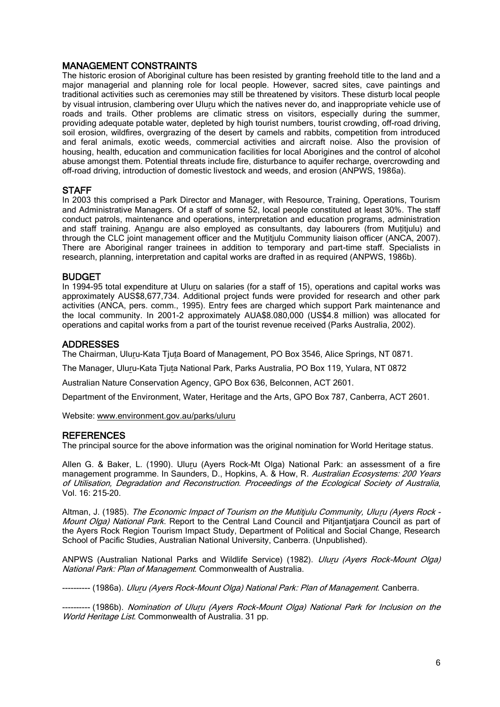## MANAGEMENT CONSTRAINTS

The historic erosion of Aboriginal culture has been resisted by granting freehold title to the land and a major managerial and planning role for local people. However, sacred sites, cave paintings and traditional activities such as ceremonies may still be threatened by visitors. These disturb local people by visual intrusion, clambering over Uluru which the natives never do, and inappropriate vehicle use of roads and trails. Other problems are climatic stress on visitors, especially during the summer, providing adequate potable water, depleted by high tourist numbers, tourist crowding, off-road driving, soil erosion, wildfires, overgrazing of the desert by camels and rabbits, competition from introduced and feral animals, exotic weeds, commercial activities and aircraft noise. Also the provision of housing, health, education and communication facilities for local Aborigines and the control of alcohol abuse amongst them. Potential threats include fire, disturbance to aquifer recharge, overcrowding and off-road driving, introduction of domestic livestock and weeds, and erosion (ANPWS, 1986a).

#### **STAFF**

In 2003 this comprised a Park Director and Manager, with Resource, Training, Operations, Tourism and Administrative Managers. Of a staff of some 52, local people constituted at least 30%. The staff conduct patrols, maintenance and operations, interpretation and education programs, administration and staff training. Anangu are also employed as consultants, day labourers (from Mutitjulu) and through the CLC joint management officer and the Mutitjulu Community liaison officer (ANCA, 2007). There are Aboriginal ranger trainees in addition to temporary and part-time staff. Specialists in research, planning, interpretation and capital works are drafted in as required (ANPWS, 1986b).

#### BUDGET

In 1994-95 total expenditure at Uluru on salaries (for a staff of 15), operations and capital works was approximately AUS\$8,677,734. Additional project funds were provided for research and other park activities (ANCA, pers. comm., 1995). Entry fees are charged which support Park maintenance and the local community. In 2001-2 approximately AUA\$8.080,000 (US\$4.8 million) was allocated for operations and capital works from a part of the tourist revenue received (Parks Australia, 2002).

#### ADDRESSES

The Chairman, Uluru-Kata Tjuta Board of Management, PO Box 3546, Alice Springs, NT 0871.

The Manager, Uluru-Kata Tjuta National Park, Parks Australia, PO Box 119, Yulara, NT 0872

Australian Nature Conservation Agency, GPO Box 636, Belconnen, ACT 2601.

Department of the Environment, Water, Heritage and the Arts, GPO Box 787, Canberra, ACT 2601.

Website[: www.environment.gov.au/parks/uluru](http://www.environment.gov.au/parks/uluru) 

#### **REFERENCES**

The principal source for the above information was the original nomination for World Heritage status.

Allen G. & Baker, L. (1990). Uluru (Ayers Rock–Mt Olga) National Park: an assessment of a fire management programme. In Saunders, D., Hopkins, A. & How, R. Australian Ecosystems: 200 Years of Utilisation, Degradation and Reconstruction. Proceedings of the Ecological Society of Australia, Vol. 16: 215–20.

Altman, J. (1985). The Economic Impact of Tourism on the Mutitjulu Community, Uluru (Ayers Rock - Mount Olga) National Park. Report to the Central Land Council and Pitjantiatiara Council as part of the Ayers Rock Region Tourism Impact Study, Department of Political and Social Change, Research School of Pacific Studies, Australian National University, Canberra. (Unpublished).

ANPWS (Australian National Parks and Wildlife Service) (1982). Uluru (Ayers Rock-Mount Olga) National Park: Plan of Management. Commonwealth of Australia.

---------- (1986a). Uluru (Ayers Rock-Mount Olga) National Park: Plan of Management. Canberra.

---------- (1986b). Nomination of Uluru (Ayers Rock-Mount Olga) National Park for Inclusion on the World Heritage List. Commonwealth of Australia. 31 pp.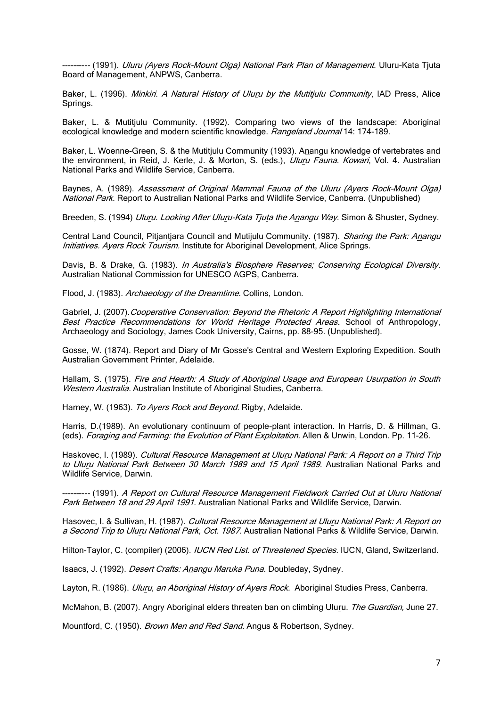---- (1991). *Uluru (Ayers Rock-Mount Olga) National Park Plan of Management.* Uluru-Kata Tjuta Board of Management, ANPWS, Canberra.

Baker, L. (1996). Minkiri. A Natural History of Uluru by the Mutitjulu Community, IAD Press, Alice Springs.

Baker, L. & Mutitjulu Community. (1992). Comparing two views of the landscape: Aboriginal ecological knowledge and modern scientific knowledge. Rangeland Journal 14: 174-189.

Baker, L. Woenne-Green, S. & the Mutitjulu Community (1993). Anangu knowledge of vertebrates and the environment, in Reid, J. Kerle, J. & Morton, S. (eds.), *Uluru Fauna. Kowari*, Vol. 4. Australian National Parks and Wildlife Service, Canberra.

Baynes, A. (1989). Assessment of Original Mammal Fauna of the Uluru (Ayers Rock–Mount Olga) National Park. Report to Australian National Parks and Wildlife Service, Canberra. (Unpublished)

Breeden, S. (1994) *Uluru. Looking After Uluru-Kata Tjuta the Anangu Way*. Simon & Shuster, Sydney.

Central Land Council, Pitiantiara Council and Mutijulu Community. (1987). Sharing the Park: Anangu Initiatives. Ayers Rock Tourism. Institute for Aboriginal Development, Alice Springs.

Davis, B. & Drake, G. (1983). *In Australia's Biosphere Reserves; Conserving Ecological Diversity.* Australian National Commission for UNESCO AGPS, Canberra.

Flood, J. (1983). Archaeology of the Dreamtime. Collins, London.

Gabriel, J. (2007). Cooperative Conservation: Beyond the Rhetoric A Report Highlighting International Best Practice Recommendations for World Heritage Protected Areas. School of Anthropology, Archaeology and Sociology, James Cook University, Cairns, pp. 88-95. (Unpublished).

Gosse, W. (1874). Report and Diary of Mr Gosse's Central and Western Exploring Expedition. South Australian Government Printer, Adelaide.

Hallam, S. (1975). Fire and Hearth: A Study of Aboriginal Usage and European Usurpation in South Western Australia. Australian Institute of Aboriginal Studies, Canberra.

Harney, W. (1963). To Ayers Rock and Beyond. Rigby, Adelaide.

Harris, D.(1989). An evolutionary continuum of people-plant interaction. In Harris, D. & Hillman, G. (eds). Foraging and Farming: the Evolution of Plant Exploitation. Allen & Unwin, London. Pp. 11-26.

Haskovec, I. (1989). Cultural Resource Management at Uluru National Park: A Report on a Third Trip to Uluru National Park Between 30 March 1989 and 15 April 1989. Australian National Parks and Wildlife Service, Darwin.

---------- (1991). A Report on Cultural Resource Management Fieldwork Carried Out at Uluru National Park Between 18 and 29 April 1991. Australian National Parks and Wildlife Service, Darwin.

Hasovec, I. & Sullivan, H. (1987). Cultural Resource Management at Uluru National Park: A Report on a Second Trip to Uluru National Park, Oct. 1987. Australian National Parks & Wildlife Service, Darwin.

Hilton-Taylor, C. (compiler) (2006). IUCN Red List. of Threatened Species. IUCN, Gland, Switzerland.

Isaacs, J. (1992). Desert Crafts: Anangu Maruka Puna. Doubleday, Sydney.

Layton, R. (1986). *Uluru, an Aboriginal History of Ayers Rock.* Aboriginal Studies Press, Canberra.

McMahon, B. (2007). Angry Aboriginal elders threaten ban on climbing Uluru. The Guardian, June 27.

Mountford, C. (1950). Brown Men and Red Sand. Angus & Robertson, Sydney.